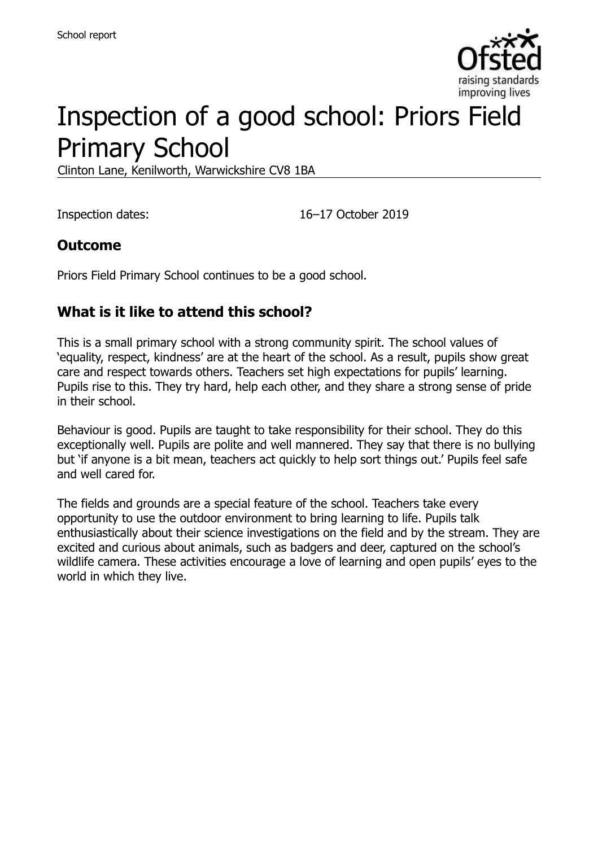

# Inspection of a good school: Priors Field Primary School

Clinton Lane, Kenilworth, Warwickshire CV8 1BA

Inspection dates: 16–17 October 2019

#### **Outcome**

Priors Field Primary School continues to be a good school.

#### **What is it like to attend this school?**

This is a small primary school with a strong community spirit. The school values of 'equality, respect, kindness' are at the heart of the school. As a result, pupils show great care and respect towards others. Teachers set high expectations for pupils' learning. Pupils rise to this. They try hard, help each other, and they share a strong sense of pride in their school.

Behaviour is good. Pupils are taught to take responsibility for their school. They do this exceptionally well. Pupils are polite and well mannered. They say that there is no bullying but 'if anyone is a bit mean, teachers act quickly to help sort things out.' Pupils feel safe and well cared for.

The fields and grounds are a special feature of the school. Teachers take every opportunity to use the outdoor environment to bring learning to life. Pupils talk enthusiastically about their science investigations on the field and by the stream. They are excited and curious about animals, such as badgers and deer, captured on the school's wildlife camera. These activities encourage a love of learning and open pupils' eyes to the world in which they live.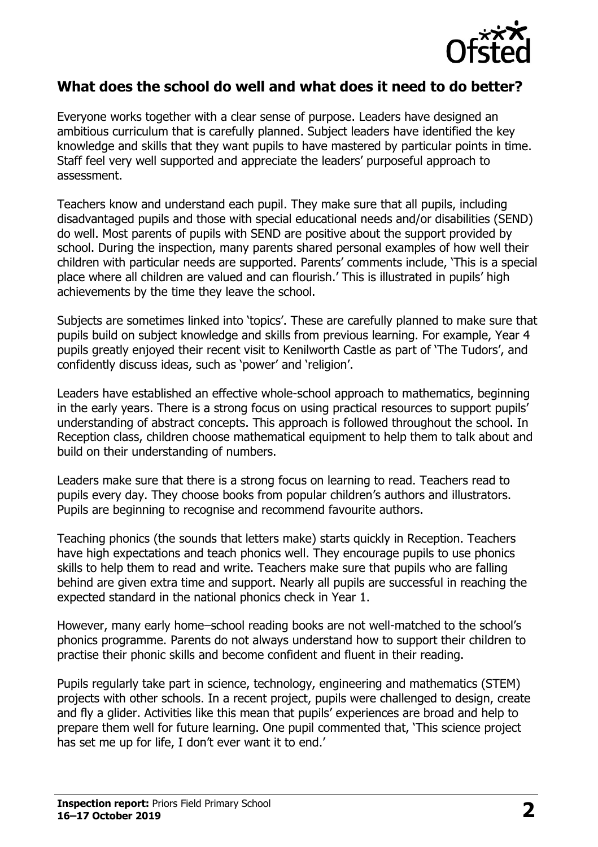

#### **What does the school do well and what does it need to do better?**

Everyone works together with a clear sense of purpose. Leaders have designed an ambitious curriculum that is carefully planned. Subject leaders have identified the key knowledge and skills that they want pupils to have mastered by particular points in time. Staff feel very well supported and appreciate the leaders' purposeful approach to assessment.

Teachers know and understand each pupil. They make sure that all pupils, including disadvantaged pupils and those with special educational needs and/or disabilities (SEND) do well. Most parents of pupils with SEND are positive about the support provided by school. During the inspection, many parents shared personal examples of how well their children with particular needs are supported. Parents' comments include, 'This is a special place where all children are valued and can flourish.' This is illustrated in pupils' high achievements by the time they leave the school.

Subjects are sometimes linked into 'topics'. These are carefully planned to make sure that pupils build on subject knowledge and skills from previous learning. For example, Year 4 pupils greatly enjoyed their recent visit to Kenilworth Castle as part of 'The Tudors', and confidently discuss ideas, such as 'power' and 'religion'.

Leaders have established an effective whole-school approach to mathematics, beginning in the early years. There is a strong focus on using practical resources to support pupils' understanding of abstract concepts. This approach is followed throughout the school. In Reception class, children choose mathematical equipment to help them to talk about and build on their understanding of numbers.

Leaders make sure that there is a strong focus on learning to read. Teachers read to pupils every day. They choose books from popular children's authors and illustrators. Pupils are beginning to recognise and recommend favourite authors.

Teaching phonics (the sounds that letters make) starts quickly in Reception. Teachers have high expectations and teach phonics well. They encourage pupils to use phonics skills to help them to read and write. Teachers make sure that pupils who are falling behind are given extra time and support. Nearly all pupils are successful in reaching the expected standard in the national phonics check in Year 1.

However, many early home–school reading books are not well-matched to the school's phonics programme. Parents do not always understand how to support their children to practise their phonic skills and become confident and fluent in their reading.

Pupils regularly take part in science, technology, engineering and mathematics (STEM) projects with other schools. In a recent project, pupils were challenged to design, create and fly a glider. Activities like this mean that pupils' experiences are broad and help to prepare them well for future learning. One pupil commented that, 'This science project has set me up for life, I don't ever want it to end.'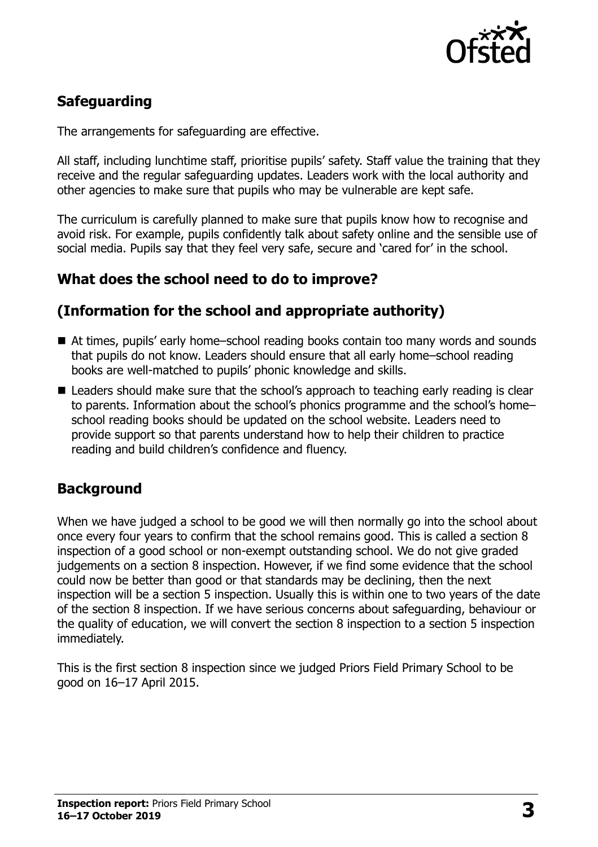

# **Safeguarding**

The arrangements for safeguarding are effective.

All staff, including lunchtime staff, prioritise pupils' safety. Staff value the training that they receive and the regular safeguarding updates. Leaders work with the local authority and other agencies to make sure that pupils who may be vulnerable are kept safe.

The curriculum is carefully planned to make sure that pupils know how to recognise and avoid risk. For example, pupils confidently talk about safety online and the sensible use of social media. Pupils say that they feel very safe, secure and 'cared for' in the school.

# **What does the school need to do to improve?**

### **(Information for the school and appropriate authority)**

- At times, pupils' early home–school reading books contain too many words and sounds that pupils do not know. Leaders should ensure that all early home–school reading books are well-matched to pupils' phonic knowledge and skills.
- Leaders should make sure that the school's approach to teaching early reading is clear to parents. Information about the school's phonics programme and the school's home– school reading books should be updated on the school website. Leaders need to provide support so that parents understand how to help their children to practice reading and build children's confidence and fluency.

# **Background**

When we have judged a school to be good we will then normally go into the school about once every four years to confirm that the school remains good. This is called a section 8 inspection of a good school or non-exempt outstanding school. We do not give graded judgements on a section 8 inspection. However, if we find some evidence that the school could now be better than good or that standards may be declining, then the next inspection will be a section 5 inspection. Usually this is within one to two years of the date of the section 8 inspection. If we have serious concerns about safeguarding, behaviour or the quality of education, we will convert the section 8 inspection to a section 5 inspection immediately.

This is the first section 8 inspection since we judged Priors Field Primary School to be good on 16–17 April 2015.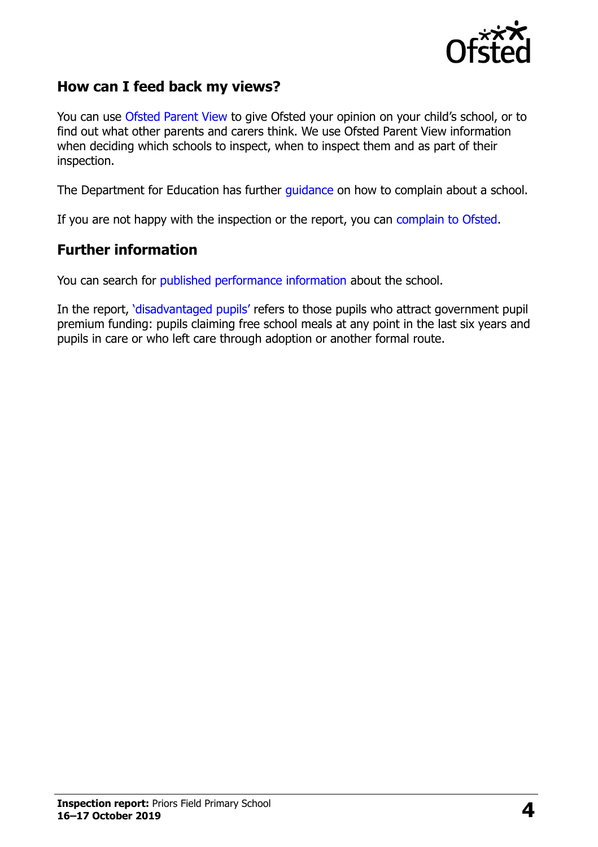

#### **How can I feed back my views?**

You can use [Ofsted Parent View](https://parentview.ofsted.gov.uk/) to give Ofsted your opinion on your child's school, or to find out what other parents and carers think. We use Ofsted Parent View information when deciding which schools to inspect, when to inspect them and as part of their inspection.

The Department for Education has further [guidance](http://www.gov.uk/complain-about-school) on how to complain about a school.

If you are not happy with the inspection or the report, you can [complain to Ofsted.](https://www.gov.uk/complain-ofsted-report)

#### **Further information**

You can search for [published performance information](http://www.compare-school-performance.service.gov.uk/) about the school.

In the report, '[disadvantaged pupils](http://www.gov.uk/guidance/pupil-premium-information-for-schools-and-alternative-provision-settings)' refers to those pupils who attract government pupil premium funding: pupils claiming free school meals at any point in the last six years and pupils in care or who left care through adoption or another formal route.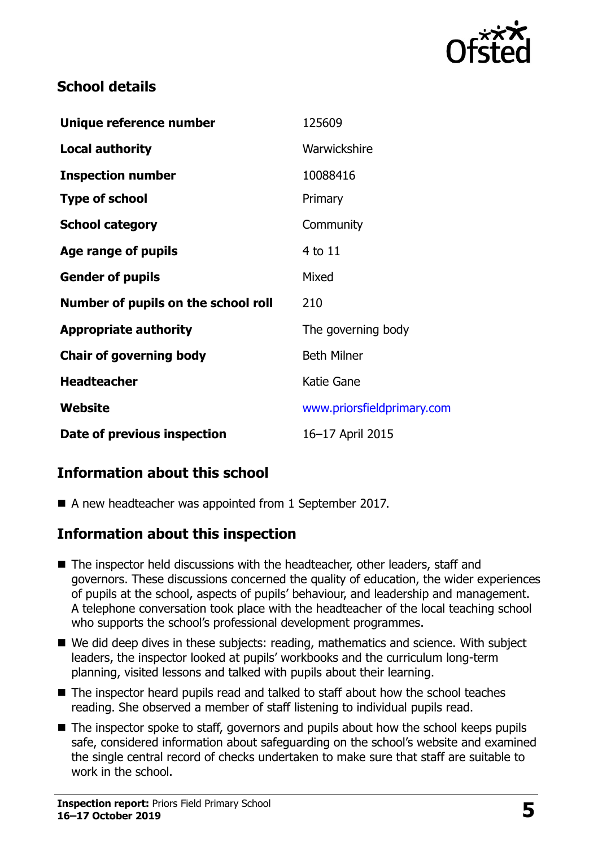

### **School details**

| Unique reference number             | 125609                     |
|-------------------------------------|----------------------------|
| <b>Local authority</b>              | Warwickshire               |
| <b>Inspection number</b>            | 10088416                   |
| <b>Type of school</b>               | Primary                    |
| <b>School category</b>              | Community                  |
| Age range of pupils                 | 4 to 11                    |
| <b>Gender of pupils</b>             | Mixed                      |
| Number of pupils on the school roll | 210                        |
| <b>Appropriate authority</b>        | The governing body         |
| <b>Chair of governing body</b>      | <b>Beth Milner</b>         |
| <b>Headteacher</b>                  | Katie Gane                 |
| Website                             | www.priorsfieldprimary.com |
| Date of previous inspection         | 16-17 April 2015           |

# **Information about this school**

A new headteacher was appointed from 1 September 2017.

#### **Information about this inspection**

- The inspector held discussions with the headteacher, other leaders, staff and governors. These discussions concerned the quality of education, the wider experiences of pupils at the school, aspects of pupils' behaviour, and leadership and management. A telephone conversation took place with the headteacher of the local teaching school who supports the school's professional development programmes.
- We did deep dives in these subjects: reading, mathematics and science. With subject leaders, the inspector looked at pupils' workbooks and the curriculum long-term planning, visited lessons and talked with pupils about their learning.
- The inspector heard pupils read and talked to staff about how the school teaches reading. She observed a member of staff listening to individual pupils read.
- $\blacksquare$  The inspector spoke to staff, governors and pupils about how the school keeps pupils safe, considered information about safeguarding on the school's website and examined the single central record of checks undertaken to make sure that staff are suitable to work in the school.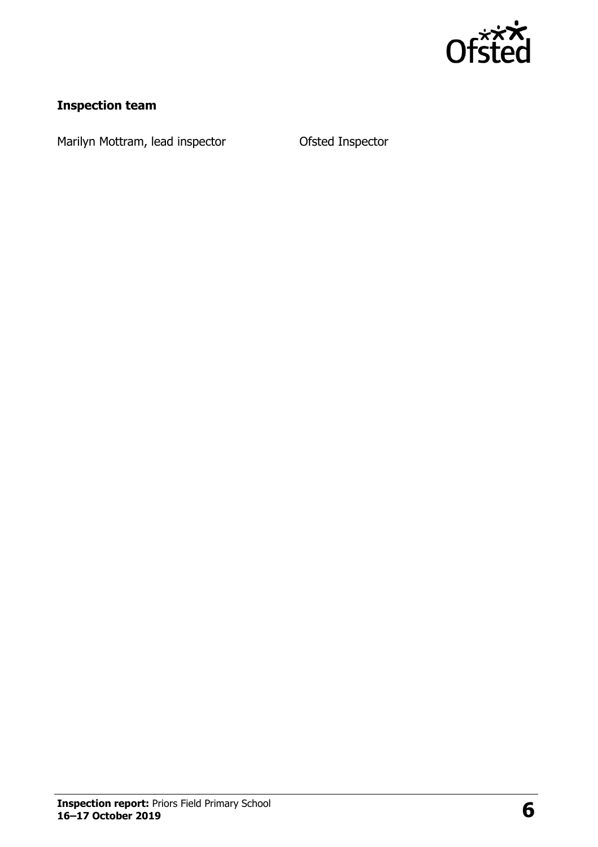

# **Inspection team**

Marilyn Mottram, lead inspector **Canadia** Ofsted Inspector